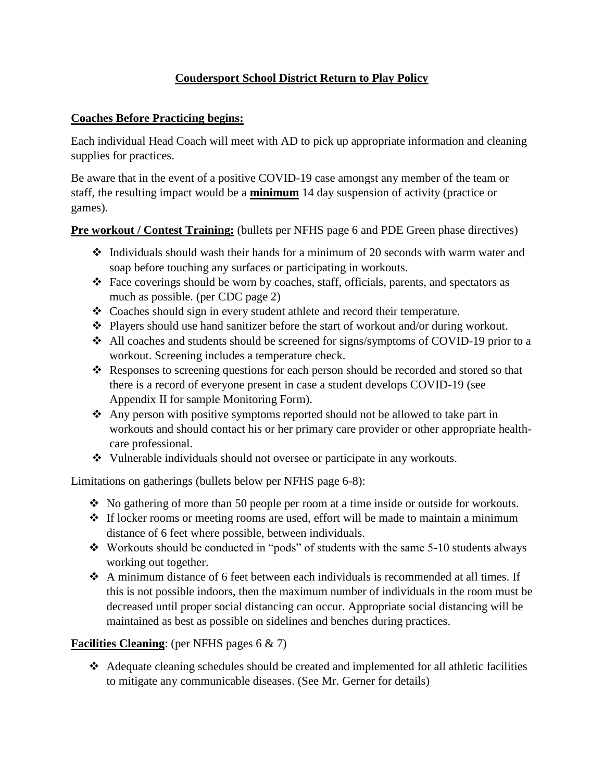# **Coudersport School District Return to Play Policy**

### **Coaches Before Practicing begins:**

Each individual Head Coach will meet with AD to pick up appropriate information and cleaning supplies for practices.

Be aware that in the event of a positive COVID-19 case amongst any member of the team or staff, the resulting impact would be a **minimum** 14 day suspension of activity (practice or games).

**Pre workout / Contest Training:** (bullets per NFHS page 6 and PDE Green phase directives)

- ❖ Individuals should wash their hands for a minimum of 20 seconds with warm water and soap before touching any surfaces or participating in workouts.
- ❖ Face coverings should be worn by coaches, staff, officials, parents, and spectators as much as possible. (per CDC page 2)
- ❖ Coaches should sign in every student athlete and record their temperature.
- ❖ Players should use hand sanitizer before the start of workout and/or during workout.
- ❖ All coaches and students should be screened for signs/symptoms of COVID-19 prior to a workout. Screening includes a temperature check.
- ❖ Responses to screening questions for each person should be recorded and stored so that there is a record of everyone present in case a student develops COVID-19 (see Appendix II for sample Monitoring Form).
- ❖ Any person with positive symptoms reported should not be allowed to take part in workouts and should contact his or her primary care provider or other appropriate healthcare professional.
- ❖ Vulnerable individuals should not oversee or participate in any workouts.

Limitations on gatherings (bullets below per NFHS page 6-8):

- ❖ No gathering of more than 50 people per room at a time inside or outside for workouts.
- ❖ If locker rooms or meeting rooms are used, effort will be made to maintain a minimum distance of 6 feet where possible, between individuals.
- ❖ Workouts should be conducted in "pods" of students with the same 5-10 students always working out together.
- $\triangle$  A minimum distance of 6 feet between each individuals is recommended at all times. If this is not possible indoors, then the maximum number of individuals in the room must be decreased until proper social distancing can occur. Appropriate social distancing will be maintained as best as possible on sidelines and benches during practices.

#### **Facilities Cleaning**: (per NFHS pages 6 & 7)

❖ Adequate cleaning schedules should be created and implemented for all athletic facilities to mitigate any communicable diseases. (See Mr. Gerner for details)